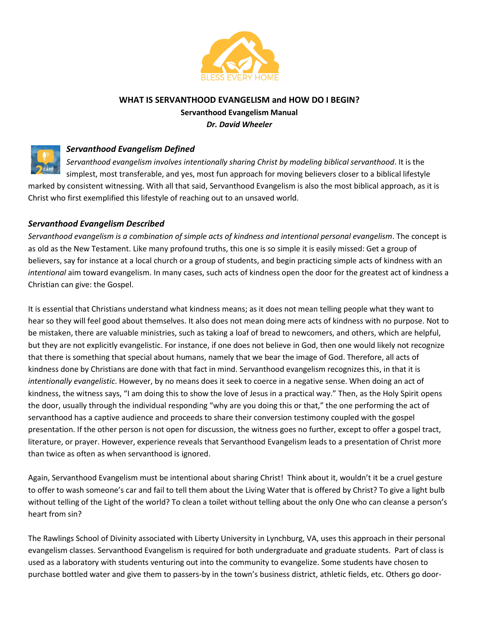

## **WHAT IS SERVANTHOOD EVANGELISM and HOW DO I BEGIN?**

**Servanthood Evangelism Manual** *Dr. David Wheeler*



## *Servanthood Evangelism Defined*

*Servanthood evangelism involves intentionally sharing Christ by modeling biblical servanthood*. It is the simplest, most transferable, and yes, most fun approach for moving believers closer to a biblical lifestyle marked by consistent witnessing. With all that said, Servanthood Evangelism is also the most biblical approach, as it is Christ who first exemplified this lifestyle of reaching out to an unsaved world.

# *Servanthood Evangelism Described*

*Servanthood evangelism is a combination of simple acts of kindness and intentional personal evangelism*. The concept is as old as the New Testament. Like many profound truths, this one is so simple it is easily missed: Get a group of believers, say for instance at a local church or a group of students, and begin practicing simple acts of kindness with an *intentional* aim toward evangelism. In many cases, such acts of kindness open the door for the greatest act of kindness a Christian can give: the Gospel.

It is essential that Christians understand what kindness means; as it does not mean telling people what they want to hear so they will feel good about themselves. It also does not mean doing mere acts of kindness with no purpose. Not to be mistaken, there are valuable ministries, such as taking a loaf of bread to newcomers, and others, which are helpful, but they are not explicitly evangelistic. For instance, if one does not believe in God, then one would likely not recognize that there is something that special about humans, namely that we bear the image of God. Therefore, all acts of kindness done by Christians are done with that fact in mind. Servanthood evangelism recognizes this, in that it is *intentionally evangelistic*. However, by no means does it seek to coerce in a negative sense. When doing an act of kindness, the witness says, "I am doing this to show the love of Jesus in a practical way." Then, as the Holy Spirit opens the door, usually through the individual responding "why are you doing this or that," the one performing the act of servanthood has a captive audience and proceeds to share their conversion testimony coupled with the gospel presentation. If the other person is not open for discussion, the witness goes no further, except to offer a gospel tract, literature, or prayer. However, experience reveals that Servanthood Evangelism leads to a presentation of Christ more than twice as often as when servanthood is ignored.

Again, Servanthood Evangelism must be intentional about sharing Christ! Think about it, wouldn't it be a cruel gesture to offer to wash someone's car and fail to tell them about the Living Water that is offered by Christ? To give a light bulb without telling of the Light of the world? To clean a toilet without telling about the only One who can cleanse a person's heart from sin?

The Rawlings School of Divinity associated with Liberty University in Lynchburg, VA, uses this approach in their personal evangelism classes. Servanthood Evangelism is required for both undergraduate and graduate students. Part of class is used as a laboratory with students venturing out into the community to evangelize. Some students have chosen to purchase bottled water and give them to passers-by in the town's business district, athletic fields, etc. Others go door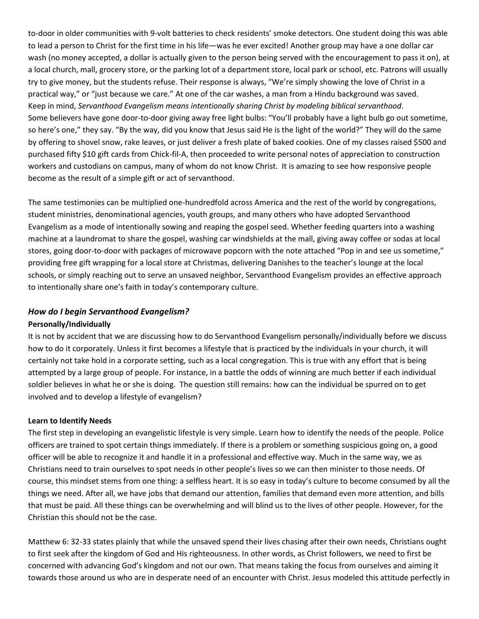to-door in older communities with 9-volt batteries to check residents' smoke detectors. One student doing this was able to lead a person to Christ for the first time in his life—was he ever excited! Another group may have a one dollar car wash (no money accepted, a dollar is actually given to the person being served with the encouragement to pass it on), at a local church, mall, grocery store, or the parking lot of a department store, local park or school, etc. Patrons will usually try to give money, but the students refuse. Their response is always, "We're simply showing the love of Christ in a practical way," or "just because we care." At one of the car washes, a man from a Hindu background was saved. Keep in mind, *Servanthood Evangelism means intentionally sharing Christ by modeling biblical servanthood*. Some believers have gone door-to-door giving away free light bulbs: "You'll probably have a light bulb go out sometime, so here's one," they say. "By the way, did you know that Jesus said He is the light of the world?" They will do the same by offering to shovel snow, rake leaves, or just deliver a fresh plate of baked cookies. One of my classes raised \$500 and purchased fifty \$10 gift cards from Chick-fil-A, then proceeded to write personal notes of appreciation to construction workers and custodians on campus, many of whom do not know Christ. It is amazing to see how responsive people become as the result of a simple gift or act of servanthood.

The same testimonies can be multiplied one-hundredfold across America and the rest of the world by congregations, student ministries, denominational agencies, youth groups, and many others who have adopted Servanthood Evangelism as a mode of intentionally sowing and reaping the gospel seed. Whether feeding quarters into a washing machine at a laundromat to share the gospel, washing car windshields at the mall, giving away coffee or sodas at local stores, going door-to-door with packages of microwave popcorn with the note attached "Pop in and see us sometime," providing free gift wrapping for a local store at Christmas, delivering Danishes to the teacher's lounge at the local schools, or simply reaching out to serve an unsaved neighbor, Servanthood Evangelism provides an effective approach to intentionally share one's faith in today's contemporary culture.

## *How do I begin Servanthood Evangelism?*

### **Personally/Individually**

It is not by accident that we are discussing how to do Servanthood Evangelism personally/individually before we discuss how to do it corporately. Unless it first becomes a lifestyle that is practiced by the individuals in your church, it will certainly not take hold in a corporate setting, such as a local congregation. This is true with any effort that is being attempted by a large group of people. For instance, in a battle the odds of winning are much better if each individual soldier believes in what he or she is doing. The question still remains: how can the individual be spurred on to get involved and to develop a lifestyle of evangelism?

### **Learn to Identify Needs**

The first step in developing an evangelistic lifestyle is very simple. Learn how to identify the needs of the people. Police officers are trained to spot certain things immediately. If there is a problem or something suspicious going on, a good officer will be able to recognize it and handle it in a professional and effective way. Much in the same way, we as Christians need to train ourselves to spot needs in other people's lives so we can then minister to those needs. Of course, this mindset stems from one thing: a selfless heart. It is so easy in today's culture to become consumed by all the things we need. After all, we have jobs that demand our attention, families that demand even more attention, and bills that must be paid. All these things can be overwhelming and will blind us to the lives of other people. However, for the Christian this should not be the case.

Matthew 6: 32-33 states plainly that while the unsaved spend their lives chasing after their own needs, Christians ought to first seek after the kingdom of God and His righteousness. In other words, as Christ followers, we need to first be concerned with advancing God's kingdom and not our own. That means taking the focus from ourselves and aiming it towards those around us who are in desperate need of an encounter with Christ. Jesus modeled this attitude perfectly in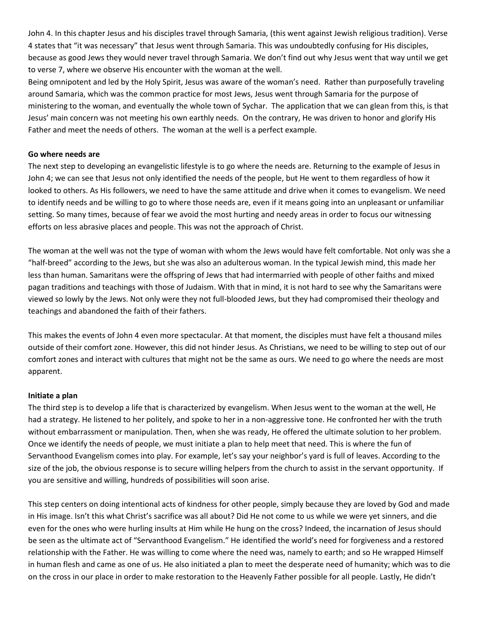John 4. In this chapter Jesus and his disciples travel through Samaria, (this went against Jewish religious tradition). Verse 4 states that "it was necessary" that Jesus went through Samaria. This was undoubtedly confusing for His disciples, because as good Jews they would never travel through Samaria. We don't find out why Jesus went that way until we get to verse 7, where we observe His encounter with the woman at the well.

Being omnipotent and led by the Holy Spirit, Jesus was aware of the woman's need. Rather than purposefully traveling around Samaria, which was the common practice for most Jews, Jesus went through Samaria for the purpose of ministering to the woman, and eventually the whole town of Sychar. The application that we can glean from this, is that Jesus' main concern was not meeting his own earthly needs. On the contrary, He was driven to honor and glorify His Father and meet the needs of others. The woman at the well is a perfect example.

#### **Go where needs are**

The next step to developing an evangelistic lifestyle is to go where the needs are. Returning to the example of Jesus in John 4; we can see that Jesus not only identified the needs of the people, but He went to them regardless of how it looked to others. As His followers, we need to have the same attitude and drive when it comes to evangelism. We need to identify needs and be willing to go to where those needs are, even if it means going into an unpleasant or unfamiliar setting. So many times, because of fear we avoid the most hurting and needy areas in order to focus our witnessing efforts on less abrasive places and people. This was not the approach of Christ.

The woman at the well was not the type of woman with whom the Jews would have felt comfortable. Not only was she a "half-breed" according to the Jews, but she was also an adulterous woman. In the typical Jewish mind, this made her less than human. Samaritans were the offspring of Jews that had intermarried with people of other faiths and mixed pagan traditions and teachings with those of Judaism. With that in mind, it is not hard to see why the Samaritans were viewed so lowly by the Jews. Not only were they not full-blooded Jews, but they had compromised their theology and teachings and abandoned the faith of their fathers.

This makes the events of John 4 even more spectacular. At that moment, the disciples must have felt a thousand miles outside of their comfort zone. However, this did not hinder Jesus. As Christians, we need to be willing to step out of our comfort zones and interact with cultures that might not be the same as ours. We need to go where the needs are most apparent.

#### **Initiate a plan**

The third step is to develop a life that is characterized by evangelism. When Jesus went to the woman at the well, He had a strategy. He listened to her politely, and spoke to her in a non-aggressive tone. He confronted her with the truth without embarrassment or manipulation. Then, when she was ready, He offered the ultimate solution to her problem. Once we identify the needs of people, we must initiate a plan to help meet that need. This is where the fun of Servanthood Evangelism comes into play. For example, let's say your neighbor's yard is full of leaves. According to the size of the job, the obvious response is to secure willing helpers from the church to assist in the servant opportunity. If you are sensitive and willing, hundreds of possibilities will soon arise.

This step centers on doing intentional acts of kindness for other people, simply because they are loved by God and made in His image. Isn't this what Christ's sacrifice was all about? Did He not come to us while we were yet sinners, and die even for the ones who were hurling insults at Him while He hung on the cross? Indeed, the incarnation of Jesus should be seen as the ultimate act of "Servanthood Evangelism." He identified the world's need for forgiveness and a restored relationship with the Father. He was willing to come where the need was, namely to earth; and so He wrapped Himself in human flesh and came as one of us. He also initiated a plan to meet the desperate need of humanity; which was to die on the cross in our place in order to make restoration to the Heavenly Father possible for all people. Lastly, He didn't